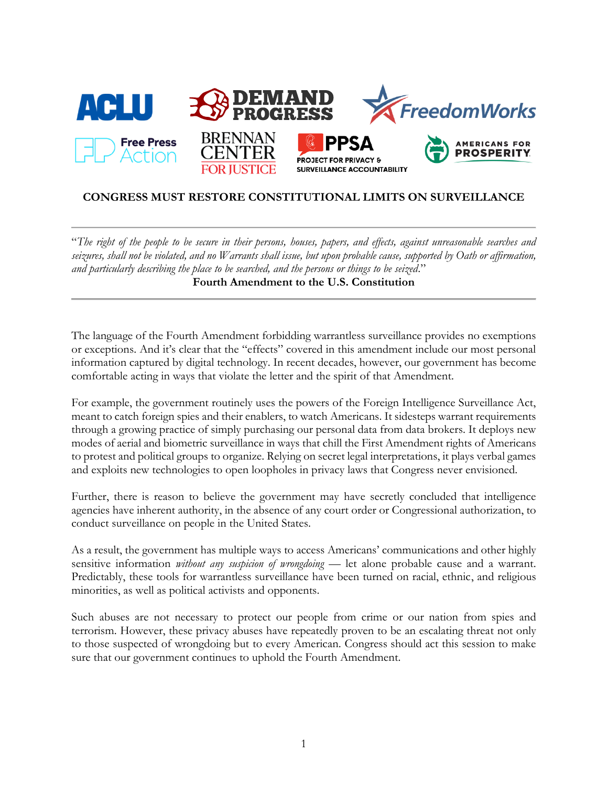

# **CONGRESS MUST RESTORE CONSTITUTIONAL LIMITS ON SURVEILLANCE**

"*The right of the people to be secure in their persons, houses, papers, and effects, against unreasonable searches and seizures, shall not be violated, and no Warrants shall issue, but upon probable cause, supported by Oath or affirmation, and particularly describing the place to be searched, and the persons or things to be seized*." **Fourth Amendment to the U.S. Constitution**

The language of the Fourth Amendment forbidding warrantless surveillance provides no exemptions or exceptions. And it's clear that the "effects" covered in this amendment include our most personal information captured by digital technology. In recent decades, however, our government has become comfortable acting in ways that violate the letter and the spirit of that Amendment.

For example, the government routinely uses the powers of the Foreign Intelligence Surveillance Act, meant to catch foreign spies and their enablers, to watch Americans. It sidesteps warrant requirements through a growing practice of simply purchasing our personal data from data brokers. It deploys new modes of aerial and biometric surveillance in ways that chill the First Amendment rights of Americans to protest and political groups to organize. Relying on secret legal interpretations, it plays verbal games and exploits new technologies to open loopholes in privacy laws that Congress never envisioned.

Further, there is reason to believe the government may have secretly concluded that intelligence agencies have inherent authority, in the absence of any court order or Congressional authorization, to conduct surveillance on people in the United States.

As a result, the government has multiple ways to access Americans' communications and other highly sensitive information *without any suspicion of wrongdoing* — let alone probable cause and a warrant. Predictably, these tools for warrantless surveillance have been turned on racial, ethnic, and religious minorities, as well as political activists and opponents.

Such abuses are not necessary to protect our people from crime or our nation from spies and terrorism. However, these privacy abuses have repeatedly proven to be an escalating threat not only to those suspected of wrongdoing but to every American. Congress should act this session to make sure that our government continues to uphold the Fourth Amendment.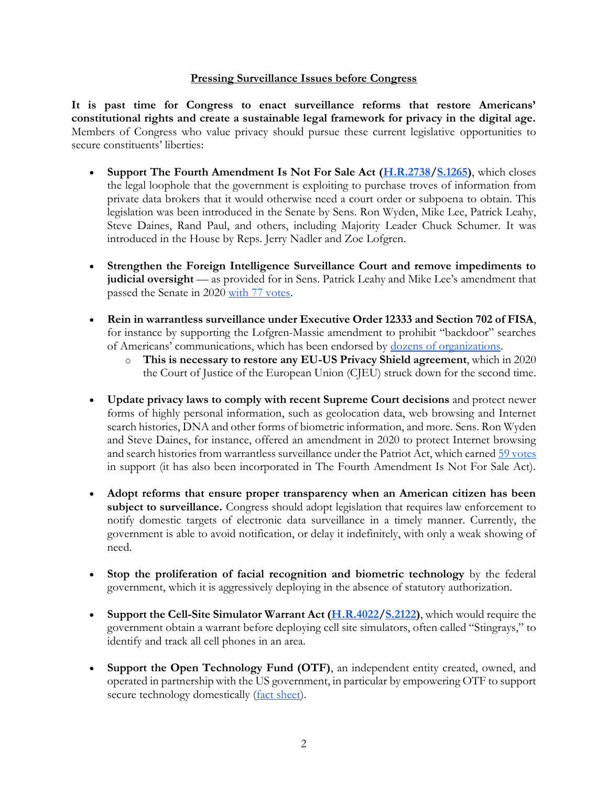#### **Pressing Surveillance Issues before Congress**

**It is past time for Congress to enact surveillance reforms that restore Americans' constitutional rights and create a sustainable legal framework for privacy in the digital age.**  Members of Congress who value privacy should pursue these current legislative opportunities to secure constituents' liberties:

- **Support The Fourth Amendment Is Not For Sale Act [\(H.R.2738/](https://www.congress.gov/bill/117th-congress/house-bill/2738)[S.1265\)](https://www.congress.gov/bill/117th-congress/senate-bill/1265/)**, which closes the legal loophole that the government is exploiting to purchase troves of information from private data brokers that it would otherwise need a court order or subpoena to obtain. This legislation was been introduced in the Senate by Sens. Ron Wyden, Mike Lee, Patrick Leahy, Steve Daines, Rand Paul, and others, including Majority Leader Chuck Schumer. It was introduced in the House by Reps. Jerry Nadler and Zoe Lofgren.
- **Strengthen the Foreign Intelligence Surveillance Court and remove impediments to judicial oversight** — as provided for in Sens. Patrick Leahy and Mike Lee's amendment that passed the Senate in 2020 [with 77 votes.](https://www.senate.gov/legislative/LIS/roll_call_lists/roll_call_vote_cfm.cfm?congress=116&session=2&vote=00090)
- **Rein in warrantless surveillance under Executive Order 12333 and Section 702 of FISA**, for instance by supporting the Lofgren-Massie amendment to prohibit "backdoor" searches of Americans' communications, which has been endorsed by [dozens of organizations.](https://s3.amazonaws.com/demandprogress/letters/Coalition_support_for_Lofgren-Massie_amendment.pdf)
	- o **This is necessary to restore any EU-US Privacy Shield agreement**, which in 2020 the Court of Justice of the European Union (CJEU) struck down for the second time.
- **Update privacy laws to comply with recent Supreme Court decisions** and protect newer forms of highly personal information, such as geolocation data, web browsing and Internet search histories, DNA and other forms of biometric information, and more. Sens. Ron Wyden and Steve Daines, for instance, offered an amendment in 2020 to protect Internet browsing and search histories from warrantless surveillance under the Patriot Act, which earned [59 votes](https://www.senate.gov/legislative/LIS/roll_call_lists/roll_call_vote_cfm.cfm?congress=116&session=2&vote=00089) in support (it has also been incorporated in The Fourth Amendment Is Not For Sale Act).
- **Adopt reforms that ensure proper transparency when an American citizen has been**  subject to surveillance. Congress should adopt legislation that requires law enforcement to notify domestic targets of electronic data surveillance in a timely manner. Currently, the government is able to avoid notification, or delay it indefinitely, with only a weak showing of need.
- **Stop the proliferation of facial recognition and biometric technology** by the federal government, which it is aggressively deploying in the absence of statutory authorization.
- **Support the Cell-Site Simulator Warrant Act (***H.R.4022/S.2122***), which would require the** government obtain a warrant before deploying cell site simulators, often called "Stingrays," to identify and track all cell phones in an area.
- **Support the Open Technology Fund (OTF)**, an independent entity created, owned, and operated in partnership with the US government, in particular by empowering OTF to support secure technology domestically [\(fact sheet\)](https://s3.amazonaws.com/demandprogress/documents/OTF_Fact_Sheet.pdf).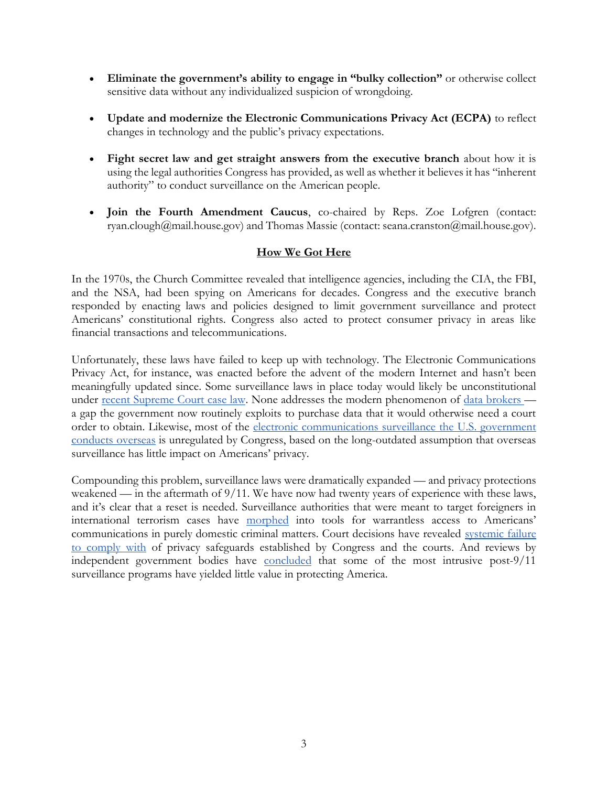- **Eliminate the government's ability to engage in "bulky collection"** or otherwise collect sensitive data without any individualized suspicion of wrongdoing.
- **Update and modernize the Electronic Communications Privacy Act (ECPA)** to reflect changes in technology and the public's privacy expectations.
- **Fight secret law and get straight answers from the executive branch** about how it is using the legal authorities Congress has provided, as well as whether it believes it has "inherent authority" to conduct surveillance on the American people.
- **Join the Fourth Amendment Caucus**, co-chaired by Reps. Zoe Lofgren (contact: ryan.clough@mail.house.gov) and Thomas Massie (contact: seana.cranston@mail.house.gov).

# **How We Got Here**

In the 1970s, the Church Committee revealed that intelligence agencies, including the CIA, the FBI, and the NSA, had been spying on Americans for decades. Congress and the executive branch responded by enacting laws and policies designed to limit government surveillance and protect Americans' constitutional rights. Congress also acted to protect consumer privacy in areas like financial transactions and telecommunications.

Unfortunately, these laws have failed to keep up with technology. The Electronic Communications Privacy Act, for instance, was enacted before the advent of the modern Internet and hasn't been meaningfully updated since. Some surveillance laws in place today would likely be unconstitutional under [recent Supreme Court case law.](https://www.supremecourt.gov/opinions/17pdf/16-402_h315.pdf) None addresses the modern phenomenon of [data brokers](https://www.fastcompany.com/90310803/here-are-the-data-brokers-quietly-buying-and-selling-your-personal-information) a gap the government now routinely exploits to purchase data that it would otherwise need a court order to obtain. Likewise, most of the [electronic communications surveillance the U.S. government](https://www.washingtonpost.com/opinions/meet-executive-order-12333-the-reagan-rule-that-lets-the-nsa-spy-on-americans/2014/07/18/93d2ac22-0b93-11e4-b8e5-d0de80767fc2_story.html)  [conducts overseas](https://www.washingtonpost.com/opinions/meet-executive-order-12333-the-reagan-rule-that-lets-the-nsa-spy-on-americans/2014/07/18/93d2ac22-0b93-11e4-b8e5-d0de80767fc2_story.html) is unregulated by Congress, based on the long-outdated assumption that overseas surveillance has little impact on Americans' privacy.

Compounding this problem, surveillance laws were dramatically expanded — and privacy protections weakened — in the aftermath of 9/11. We have now had twenty years of experience with these laws, and it's clear that a reset is needed. Surveillance authorities that were meant to target foreigners in international terrorism cases have [morphed](https://newrepublic.com/article/145474/chance-control-domestic-spying-trump-era-opportunity-reform-nsa-surveillance-program) into tools for warrantless access to Americans' communications in purely domestic criminal matters. Court decisions have revealed systemic failure [to comply with](https://www.washingtonpost.com/national-security/fbi-and-nsa-violated-surveillance-law-or-privacy-rules-a-federal-judge-found/2020/09/04/b215cf88-eec3-11ea-b4bc-3a2098fc73d4_story.html) of privacy safeguards established by Congress and the courts. And reviews by independent government bodies have [concluded](https://www.nytimes.com/2020/02/25/us/politics/nsa-phone-program.html) that some of the most intrusive post-9/11 surveillance programs have yielded little value in protecting America.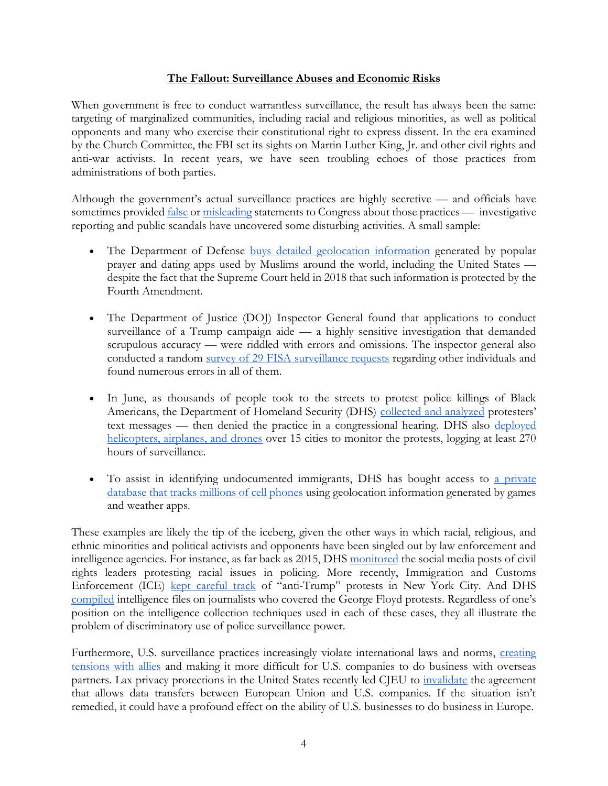#### **The Fallout: Surveillance Abuses and Economic Risks**

When government is free to conduct warrantless surveillance, the result has always been the same: targeting of marginalized communities, including racial and religious minorities, as well as political opponents and many who exercise their constitutional right to express dissent. In the era examined by the Church Committee, the FBI set its sights on Martin Luther King, Jr. and other civil rights and anti-war activists. In recent years, we have seen troubling echoes of those practices from administrations of both parties.

Although the government's actual surveillance practices are highly secretive — and officials have sometimes provided <u>[false](https://www.washingtonpost.com/national-security/dhs-analyzed-protester-communications-raising-questions-about-previous-statements-by-senior-department-official/2020/07/31/313163c6-d359-11ea-9038-af089b63ac21_story.html)</u> or [misleading](https://www.nytimes.com/2020/12/03/us/politics/section-215-patriot-act.html) statements to Congress about those practices — investigative reporting and public scandals have uncovered some disturbing activities. A small sample:

- The Department of Defense **buys** detailed geolocation information generated by popular prayer and dating apps used by Muslims around the world, including the United States despite the fact that the Supreme Court held in 2018 that such information is protected by the Fourth Amendment.
- The Department of Justice (DOJ) Inspector General found that applications to conduct surveillance of a Trump campaign aide — a highly sensitive investigation that demanded scrupulous accuracy — were riddled with errors and omissions. The inspector general also conducted a random [survey of 29 FISA surveillance requests](https://www.npr.org/2020/03/31/824510255/justice-department-ig-finds-widespread-problems-with-fbis-fisa-applications) regarding other individuals and found numerous errors in all of them.
- In June, as thousands of people took to the streets to protest police killings of Black Americans, the Department of Homeland Security (DHS) [collected and analyzed](https://www.washingtonpost.com/national-security/dhs-analyzed-protester-communications-raising-questions-about-previous-statements-by-senior-department-official/2020/07/31/313163c6-d359-11ea-9038-af089b63ac21_story.html) protesters' text messages — then denied the practice in a congressional hearing. DHS also [deployed](https://www.nytimes.com/2020/06/19/us/politics/george-floyd-protests-surveillance.html)  [helicopters, airplanes, and drones](https://www.nytimes.com/2020/06/19/us/politics/george-floyd-protests-surveillance.html) over 15 cities to monitor the protests, logging at least 270 hours of surveillance.
- To assist in identifying undocumented immigrants, DHS has bought access to a private [database that tracks millions of cell phones](https://www.vice.com/en/article/v7479m/ice-is-using-location-data-from-games-and-apps-to-track-and-arrest-immigrants-report-says) using geolocation information generated by games and weather apps.

These examples are likely the tip of the iceberg, given the other ways in which racial, religious, and ethnic minorities and political activists and opponents have been singled out by law enforcement and intelligence agencies. For instance, as far back as 2015, DHS [monitored](https://theintercept.com/2015/07/24/documents-show-department-homeland-security-monitoring-black-lives-matter-since-ferguson/) the social media posts of civil rights leaders protesting racial issues in policing. More recently, Immigration and Customs Enforcement (ICE) [kept careful track](https://www.thenation.com/article/archive/ice-immigration-protest-spreadsheet-tracking/) of "anti-Trump" protests in New York City. And DH[S](https://www.washingtonpost.com/national-security/dhs-compiled-intelligence-reports-on-journalists-who-published-leaked-documents/2020/07/30/5be5ec9e-d25b-11ea-9038-af089b63ac21_story.html) [compiled](https://www.washingtonpost.com/national-security/dhs-compiled-intelligence-reports-on-journalists-who-published-leaked-documents/2020/07/30/5be5ec9e-d25b-11ea-9038-af089b63ac21_story.html) intelligence files on journalists who covered the George Floyd protests. Regardless of one's position on the intelligence collection techniques used in each of these cases, they all illustrate the problem of discriminatory use of police surveillance power.

Furthermore, U.S. surveillance practices increasingly violate international laws and norms, creating [tensions with allies](https://www.nytimes.com/2013/10/24/world/europe/united-states-disputes-reports-of-wiretapping-in-Europe.html) and making it more difficult for U.S. companies to do business with overseas partners. Lax privacy protections in the United States recently led CJEU to [invalidate](https://www.bbc.com/news/technology-53418898) the agreement that allows data transfers between European Union and U.S. companies. If the situation isn't remedied, it could have a profound effect on the ability of U.S. businesses to do business in Europe.